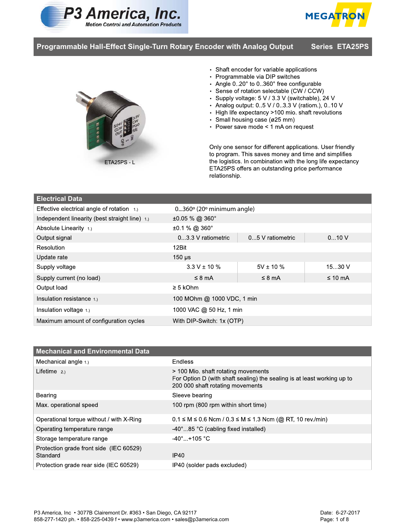





- Shaft encoder for variable applications<br>• Programmable via DIP switches
- 
- Angle 0..20° to 0..360° free configurable
- Sense of rotation selectable (CW / CCW)
- Supply voltage: 5 V / 3.3 V (switchable), 24 V
- Analog output: 0..5 V / 0..3.3 V (ratiom.), 0..10 V
- High life expectancy >100 mio. shaft revolutions
- Small housing case (ø25 mm)
- •

Only one sensor for different applications. User friendly to program. This saves money and time and simplifies the logistics. In combination with the long life expectancy ETA25PS offers an outstanding price performance relationship.

## **Electrical Data**

| Effective electrical angle of rotation $1.$    | $0360$ <sup>o</sup> (20 $\circ$ minimum angle) |                  |              |
|------------------------------------------------|------------------------------------------------|------------------|--------------|
| Independent linearity (best straight line) 1.) | $\pm 0.05$ % @ 360°                            |                  |              |
| Absolute Linearity 1.)                         | $±0.1\%$ @ 360 $^{\circ}$                      |                  |              |
| Output signal                                  | 03.3 V ratiometric                             | 05 V ratiometric | 010V         |
| Resolution                                     | 12Bit                                          |                  |              |
| Update rate                                    | $150 \,\mathrm{\upmu s}$                       |                  |              |
| Supply voltage                                 | $3.3 V \pm 10 \%$                              | $5V \pm 10 \%$   | 1530V        |
| Supply current (no load)                       | $\leq$ 8 mA                                    | $\leq$ 8 mA      | $\leq 10$ mA |
| Output load                                    | $\geq$ 5 kOhm                                  |                  |              |
| Insulation resistance 1.)                      | 100 MOhm @ 1000 VDC, 1 min                     |                  |              |
| Insulation voltage 1.)                         | 1000 VAC @ 50 Hz, 1 min                        |                  |              |
| Maximum amount of configuration cycles         | With DIP-Switch: 1x (OTP)                      |                  |              |

| <b>Mechanical and Environmental Data</b>            |                                                                                                                                                    |
|-----------------------------------------------------|----------------------------------------------------------------------------------------------------------------------------------------------------|
| Mechanical angle 1.)                                | Endless                                                                                                                                            |
| Lifetime $2.1$                                      | > 100 Mio. shaft rotating movements<br>For Option D (with shaft sealing) the sealing is at least working up to<br>200 000 shaft rotating movements |
| Bearing                                             | Sleeve bearing                                                                                                                                     |
| Max. operational speed                              | 100 rpm (800 rpm within short time)                                                                                                                |
| Operational torque without / with X-Ring            | $0.1 \le M \le 0.6$ Ncm / $0.3 \le M \le 1.3$ Ncm (@ RT, 10 rev./min)                                                                              |
| Operating temperature range                         | -40°85 °C (cabling fixed installed)                                                                                                                |
| Storage temperature range                           | $-40^{\circ}$ +105 °C                                                                                                                              |
| Protection grade front side (IEC 60529)<br>Standard | IP40                                                                                                                                               |
| Protection grade rear side (IEC 60529)              | IP40 (solder pads excluded)                                                                                                                        |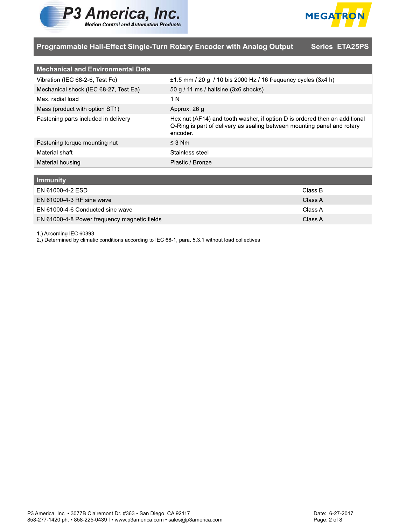



| <b>Mechanical and Environmental Data</b> |                                                                                                                                                                   |
|------------------------------------------|-------------------------------------------------------------------------------------------------------------------------------------------------------------------|
| Vibration (IEC 68-2-6, Test Fc)          | $\pm$ 1.5 mm / 20 g / 10 bis 2000 Hz / 16 frequency cycles (3x4 h)                                                                                                |
| Mechanical shock (IEC 68-27, Test Ea)    | 50 g $/$ 11 ms $/$ halfsine (3x6 shocks)                                                                                                                          |
| Max. radial load                         | 1 N                                                                                                                                                               |
| Mass (product with option ST1)           | Approx. 26 g                                                                                                                                                      |
| Fastening parts included in delivery     | Hex nut (AF14) and tooth washer, if option D is ordered then an additional<br>O-Ring is part of delivery as sealing between mounting panel and rotary<br>encoder. |
| Fastening torque mounting nut            | $\leq$ 3 Nm                                                                                                                                                       |
| Material shaft                           | Stainless steel                                                                                                                                                   |
| Material housing                         | Plastic / Bronze                                                                                                                                                  |

| <b>Immunity</b>                              |         |
|----------------------------------------------|---------|
| EN 61000-4-2 ESD                             | Class B |
| EN 61000-4-3 RF sine wave                    | Class A |
| EN 61000-4-6 Conducted sine wave             | Class A |
| EN 61000-4-8 Power frequency magnetic fields | Class A |

1.) According IEC 60393

2.) Determined by climatic conditions according to IEC 68-1, para. 5.3.1 without load collectives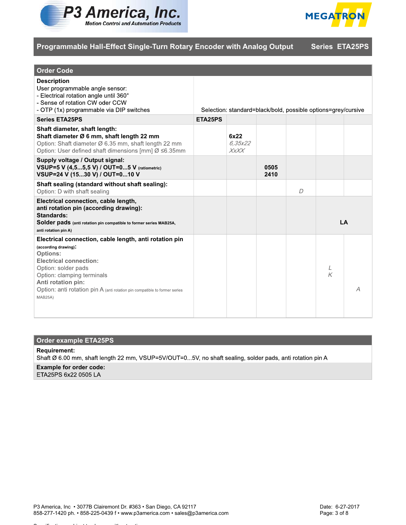



| <b>Order Code</b>                                                                                                                                                                                                                                                                                      |         |                         |              |                                                               |        |   |
|--------------------------------------------------------------------------------------------------------------------------------------------------------------------------------------------------------------------------------------------------------------------------------------------------------|---------|-------------------------|--------------|---------------------------------------------------------------|--------|---|
| <b>Description</b><br>User programmable angle sensor:<br>- Electrical rotation angle until 360°<br>- Sense of rotation CW oder CCW<br>- OTP (1x) programmable via DIP switches                                                                                                                         |         |                         |              | Selection: standard=black/bold, possible options=grey/cursive |        |   |
| <b>Series ETA25PS</b>                                                                                                                                                                                                                                                                                  | ETA25PS |                         |              |                                                               |        |   |
| Shaft diameter, shaft length:<br>Shaft diameter Ø 6 mm, shaft length 22 mm<br>Option: Shaft diameter Ø 6.35 mm, shaft length 22 mm<br>Option: User defined shaft dimensions [mm] Ø ≤6.35mm                                                                                                             |         | 6x22<br>6.35x22<br>XxXX |              |                                                               |        |   |
| Supply voltage / Output signal:<br>VSUP=5 V (4,55,5 V) / OUT=05 V (ratiometric)<br>VSUP=24 V (1530 V) / OUT=010 V                                                                                                                                                                                      |         |                         | 0505<br>2410 |                                                               |        |   |
| Shaft sealing (standard without shaft sealing):<br>Option: D with shaft sealing                                                                                                                                                                                                                        |         |                         |              | $\overline{D}$                                                |        |   |
| Electrical connection, cable length,<br>anti rotation pin (according drawing):<br>Standards:<br>Solder pads (anti rotation pin compatible to former series MAB25A,<br>anti rotation pin A)                                                                                                             |         |                         |              |                                                               | LA     |   |
| Electrical connection, cable length, anti rotation pin<br>(according drawing):<br><b>Options:</b><br><b>Electrical connection:</b><br>Option: solder pads<br>Option: clamping terminals<br>Anti rotation pin:<br>Option: anti rotation pin A (anti rotation pin compatible to former series<br>MAB25A) |         |                         |              |                                                               | L<br>K | Α |

## **Order example ETA25PS**

#### **Requirement:**

Shaft Ø 6.00 mm, shaft length 22 mm, VSUP=5V/OUT=0...5V, no shaft sealing, solder pads, anti rotation pin A

# **Example for order code:**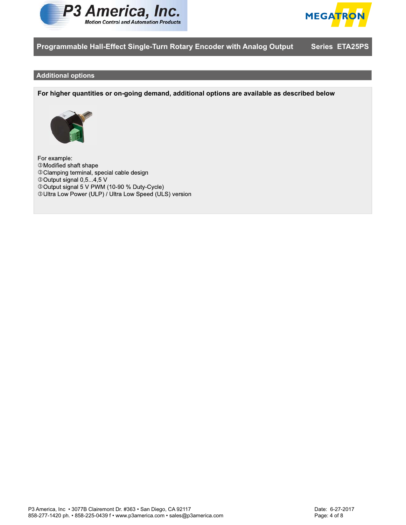



#### **Additional options**

**For higher quantities or on-going demand, additional options are available as described below**



For example:  $\circledS$  $\circledS$  $\circledS$  $\circledS$  $\circledS$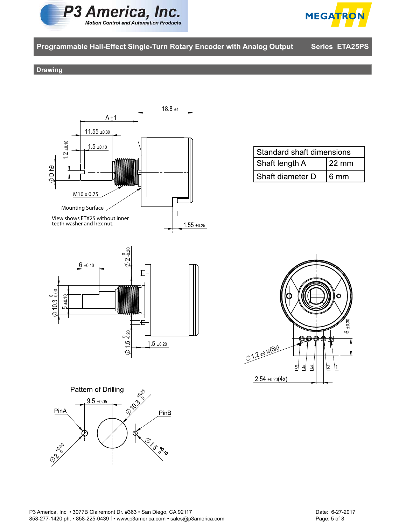



#### **Drawing**



| Standard shaft dimensions |                 |  |
|---------------------------|-----------------|--|
| Shaft length A            | $22 \text{ mm}$ |  |
| Shaft diameter D          | l 6 mm          |  |



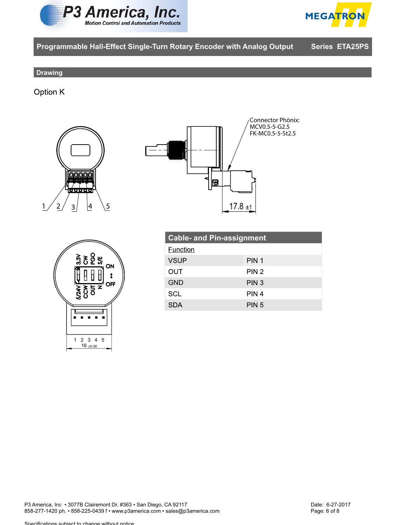



### **Drawing**

Option K







| <b>Cable- and Pin-assignment</b> |                  |  |  |
|----------------------------------|------------------|--|--|
| Function                         |                  |  |  |
| <b>VSUP</b>                      | PIN <sub>1</sub> |  |  |
| OUT                              | PIN <sub>2</sub> |  |  |
| <b>GND</b>                       | PIN <sub>3</sub> |  |  |
| <b>SCL</b>                       | PIN 4            |  |  |
| <b>SDA</b>                       | PIN <sub>5</sub> |  |  |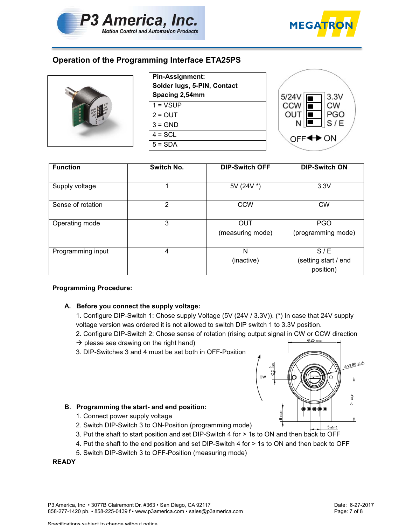



# **Operation of the Programming Interface ETA25PS**



| <b>Pin-Assignment:</b>      |  |  |
|-----------------------------|--|--|
| Solder lugs, 5-PIN, Contact |  |  |
| Spacing 2,54mm              |  |  |
| $1 = VSIIP$                 |  |  |
| $2 = 0$ UT                  |  |  |
| $3 = GND$                   |  |  |
| $4 = SCL$                   |  |  |
| $5 = SDA$                   |  |  |



| <b>Function</b>   | Switch No.<br><b>DIP-Switch OFF</b> |                                | <b>DIP-Switch ON</b>                     |  |
|-------------------|-------------------------------------|--------------------------------|------------------------------------------|--|
| Supply voltage    |                                     | 5V (24V *)                     | 3.3V                                     |  |
| Sense of rotation | 2                                   | <b>CCW</b>                     | <b>CW</b>                                |  |
| Operating mode    | 3                                   | <b>OUT</b><br>(measuring mode) | <b>PGO</b><br>(programming mode)         |  |
| Programming input | 4                                   | N<br>(inactive)                | S/E<br>(setting start / end<br>position) |  |

#### **Programming Procedure:**

# **A. Before you connect the supply voltage:**

1. Configure DIP-Switch 1: Chose supply Voltage (5V (24V / 3.3V)). (\*) In case that 24V supply voltage version was ordered it is not allowed to switch DIP switch 1 to 3.3V position.

- 2. Configure DIP-Switch 2: Chose sense of rotation (rising output signal in CW or CCW direction
- $\rightarrow$  please see drawing on the right hand)
- 3. DIP-Switches 3 and 4 must be set both in OFF-Position



# **B. Programming the start- and end position:**

Specifications subject to change without notice

- 1. Connect power supply voltage<br>2. Switch DIP-Switch 3 to ON-Position (programming mode)
- 3. Put the shaft to start position and set DIP-Switch 4 for > 1s to ON and then back to OFF
- 4. Put the shaft to the end position and set DIP-Switch 4 for > 1s to ON and then back to OFF
- 5. Switch DIP-Switch 3 to OFF-Position (measuring mode)  $\frac{1}{2}$  to OFF-Position 3 to OFF-Position (measuring mode)

**READY**